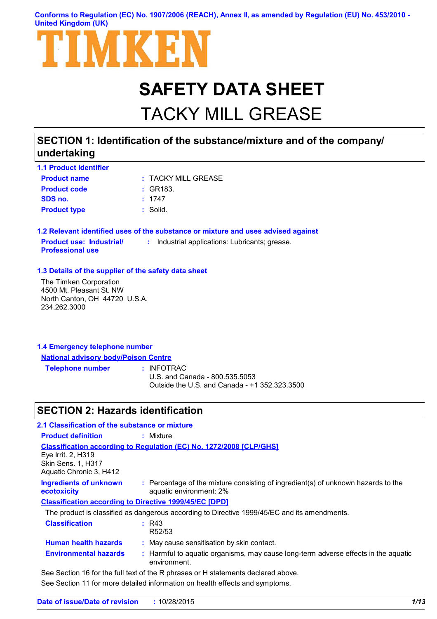### **Conforms to Regulation (EC) No. 1907/2006 (REACH), Annex II, as amended by Regulation (EU) No. 453/2010 - United Kingdom (UK)**



# **SAFETY DATA SHEET**

# TACKY MILL GREASE

### **SECTION 1: Identification of the substance/mixture and of the company/ undertaking**

| <b>1.1 Product identifier</b> |                     |
|-------------------------------|---------------------|
| <b>Product name</b>           | : TACKY MILL GREASE |
| <b>Product code</b>           | : GR183.            |
| SDS no.                       | : 1747              |
| <b>Product type</b>           | : Solid.            |

**1.2 Relevant identified uses of the substance or mixture and uses advised against Product use: Industrial/ Professional use :** Industrial applications: Lubricants; grease.

#### **1.3 Details of the supplier of the safety data sheet**

The Timken Corporation 4500 Mt. Pleasant St. NW North Canton, OH 44720 U.S.A. 234.262.3000

| 1.4 Emergency telephone number |                                             |  |
|--------------------------------|---------------------------------------------|--|
|                                | <b>National advisory body/Poison Centre</b> |  |
|                                | . <u>.</u>                                  |  |

**Telephone number :**

: INFOTRAC

U.S. and Canada - 800.535.5053 Outside the U.S. and Canada - +1 352.323.3500

### **SECTION 2: Hazards identification**

| 2.1 Classification of the substance or mixture                             |                                                                                                              |
|----------------------------------------------------------------------------|--------------------------------------------------------------------------------------------------------------|
| <b>Product definition</b>                                                  | : Mixture                                                                                                    |
| Eye Irrit. 2, H319<br><b>Skin Sens. 1, H317</b><br>Aquatic Chronic 3, H412 | <b>Classification according to Regulation (EC) No. 1272/2008 [CLP/GHS]</b>                                   |
| <b>Ingredients of unknown</b><br>ecotoxicity                               | : Percentage of the mixture consisting of ingredient(s) of unknown hazards to the<br>aquatic environment: 2% |
|                                                                            | <b>Classification according to Directive 1999/45/EC [DPD]</b>                                                |
|                                                                            | The product is classified as dangerous according to Directive 1999/45/EC and its amendments.                 |
| <b>Classification</b>                                                      | R43<br>R52/53                                                                                                |
| <b>Human health hazards</b>                                                | : May cause sensitisation by skin contact.                                                                   |
| <b>Environmental hazards</b>                                               | : Harmful to aquatic organisms, may cause long-term adverse effects in the aquatic<br>environment.           |
|                                                                            | See Section 16 for the full text of the R phrases or H statements declared above.                            |

See Section 11 for more detailed information on health effects and symptoms.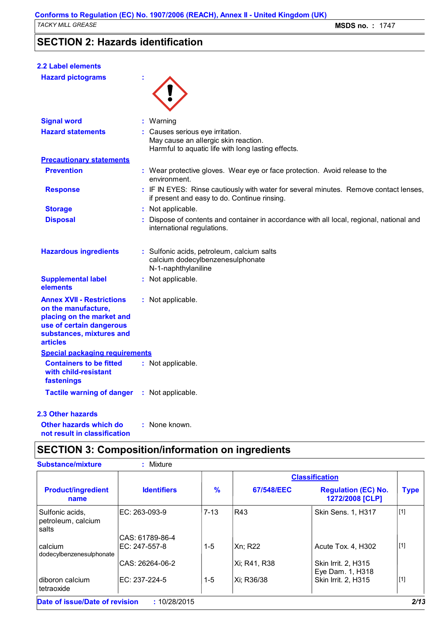# **SECTION 2: Hazards identification**

| <b>2.2 Label elements</b>                                                                                                                                       |                                                                                                                                       |
|-----------------------------------------------------------------------------------------------------------------------------------------------------------------|---------------------------------------------------------------------------------------------------------------------------------------|
| <b>Hazard pictograms</b>                                                                                                                                        |                                                                                                                                       |
|                                                                                                                                                                 |                                                                                                                                       |
|                                                                                                                                                                 |                                                                                                                                       |
| <b>Signal word</b>                                                                                                                                              | : Warning                                                                                                                             |
| <b>Hazard statements</b>                                                                                                                                        | : Causes serious eye irritation.<br>May cause an allergic skin reaction.<br>Harmful to aquatic life with long lasting effects.        |
| <b>Precautionary statements</b>                                                                                                                                 |                                                                                                                                       |
| <b>Prevention</b>                                                                                                                                               | : Wear protective gloves. Wear eye or face protection. Avoid release to the<br>environment.                                           |
| <b>Response</b>                                                                                                                                                 | : IF IN EYES: Rinse cautiously with water for several minutes. Remove contact lenses,<br>if present and easy to do. Continue rinsing. |
| <b>Storage</b>                                                                                                                                                  | : Not applicable.                                                                                                                     |
| <b>Disposal</b>                                                                                                                                                 | : Dispose of contents and container in accordance with all local, regional, national and<br>international regulations.                |
| <b>Hazardous ingredients</b>                                                                                                                                    | : Sulfonic acids, petroleum, calcium salts<br>calcium dodecylbenzenesulphonate<br>N-1-naphthylaniline                                 |
| <b>Supplemental label</b><br>elements                                                                                                                           | : Not applicable.                                                                                                                     |
| <b>Annex XVII - Restrictions</b><br>on the manufacture,<br>placing on the market and<br>use of certain dangerous<br>substances, mixtures and<br><b>articles</b> | : Not applicable.                                                                                                                     |
| <b>Special packaging requirements</b>                                                                                                                           |                                                                                                                                       |
| <b>Containers to be fitted</b><br>with child-resistant<br>fastenings                                                                                            | : Not applicable.                                                                                                                     |
| <b>Tactile warning of danger</b>                                                                                                                                | : Not applicable.                                                                                                                     |
| <b>2.3 Other hazards</b>                                                                                                                                        |                                                                                                                                       |
| Other hazards which do                                                                                                                                          | : None known                                                                                                                          |

**Other hazards which do : N not result in classification**

# **SECTION 3: Composition/information on ingredients**

| : Mixture                                  |               |              |                                               |                                           |
|--------------------------------------------|---------------|--------------|-----------------------------------------------|-------------------------------------------|
|                                            |               |              |                                               |                                           |
| <b>Identifiers</b>                         | $\frac{9}{6}$ | 67/548/EEC   | <b>Regulation (EC) No.</b><br>1272/2008 [CLP] | <b>Type</b>                               |
| IEC: 263-093-9                             | $7 - 13$      | R43          | Skin Sens. 1, H317                            | [1]                                       |
| CAS: 61789-86-4                            |               |              |                                               |                                           |
| IEC: 247-557-8<br>dodecylbenzenesulphonate | $1 - 5$       | Xn: R22      | Acute Tox. 4, H302                            | [1]                                       |
| CAS: 26264-06-2                            |               | Xi; R41, R38 | Skin Irrit. 2, H315                           |                                           |
| IEC: 237-224-5                             | $1 - 5$       | Xi; R36/38   | Skin Irrit. 2, H315                           | $[1]$                                     |
|                                            |               |              |                                               | <b>Classification</b><br>Eye Dam. 1, H318 |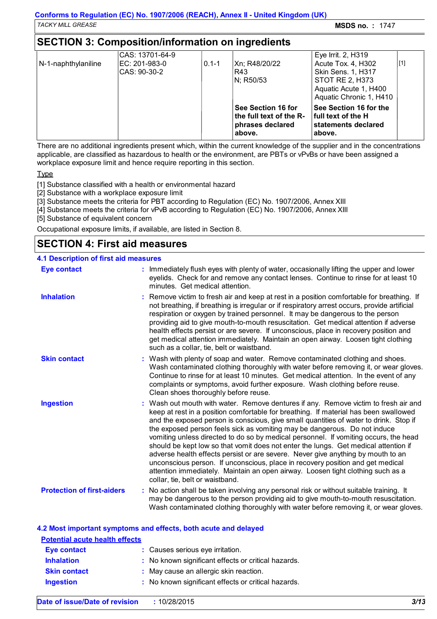### **SECTION 3: Composition/information on ingredients**

| N-1-naphthylaniline | CAS: 13701-64-9<br>IEC: 201-983-0<br>CAS: 90-30-2 | $0.1 - 1$ | Xn; R48/20/22<br>R43<br>IN: R50/53                                          | Eye Irrit. 2, H319<br>Acute Tox. 4, H302<br><b>Skin Sens. 1, H317</b><br><b>STOT RE 2, H373</b><br>Aquatic Acute 1, H400<br>Aquatic Chronic 1, H410 | $[1]$ |
|---------------------|---------------------------------------------------|-----------|-----------------------------------------------------------------------------|-----------------------------------------------------------------------------------------------------------------------------------------------------|-------|
|                     |                                                   |           | See Section 16 for<br>the full text of the R-<br>phrases declared<br>above. | See Section 16 for the<br>l full text of the H<br>statements declared<br>above.                                                                     |       |

There are no additional ingredients present which, within the current knowledge of the supplier and in the concentrations applicable, are classified as hazardous to health or the environment, are PBTs or vPvBs or have been assigned a workplace exposure limit and hence require reporting in this section.

Type

[1] Substance classified with a health or environmental hazard

[2] Substance with a workplace exposure limit

[3] Substance meets the criteria for PBT according to Regulation (EC) No. 1907/2006, Annex XIII

[4] Substance meets the criteria for vPvB according to Regulation (EC) No. 1907/2006, Annex XIII

[5] Substance of equivalent concern

Occupational exposure limits, if available, are listed in Section 8.

### **SECTION 4: First aid measures**

#### **4.1 Description of first aid measures**

| <b>Eye contact</b>                | : Immediately flush eyes with plenty of water, occasionally lifting the upper and lower<br>eyelids. Check for and remove any contact lenses. Continue to rinse for at least 10<br>minutes. Get medical attention.                                                                                                                                                                                                                                                                                                                                                                                                                                                                                                                                                                                                            |
|-----------------------------------|------------------------------------------------------------------------------------------------------------------------------------------------------------------------------------------------------------------------------------------------------------------------------------------------------------------------------------------------------------------------------------------------------------------------------------------------------------------------------------------------------------------------------------------------------------------------------------------------------------------------------------------------------------------------------------------------------------------------------------------------------------------------------------------------------------------------------|
| <b>Inhalation</b>                 | : Remove victim to fresh air and keep at rest in a position comfortable for breathing. If<br>not breathing, if breathing is irregular or if respiratory arrest occurs, provide artificial<br>respiration or oxygen by trained personnel. It may be dangerous to the person<br>providing aid to give mouth-to-mouth resuscitation. Get medical attention if adverse<br>health effects persist or are severe. If unconscious, place in recovery position and<br>get medical attention immediately. Maintain an open airway. Loosen tight clothing<br>such as a collar, tie, belt or waistband.                                                                                                                                                                                                                                 |
| <b>Skin contact</b>               | : Wash with plenty of soap and water. Remove contaminated clothing and shoes.<br>Wash contaminated clothing thoroughly with water before removing it, or wear gloves.<br>Continue to rinse for at least 10 minutes. Get medical attention. In the event of any<br>complaints or symptoms, avoid further exposure. Wash clothing before reuse.<br>Clean shoes thoroughly before reuse.                                                                                                                                                                                                                                                                                                                                                                                                                                        |
| <b>Ingestion</b>                  | : Wash out mouth with water. Remove dentures if any. Remove victim to fresh air and<br>keep at rest in a position comfortable for breathing. If material has been swallowed<br>and the exposed person is conscious, give small quantities of water to drink. Stop if<br>the exposed person feels sick as vomiting may be dangerous. Do not induce<br>vomiting unless directed to do so by medical personnel. If vomiting occurs, the head<br>should be kept low so that vomit does not enter the lungs. Get medical attention if<br>adverse health effects persist or are severe. Never give anything by mouth to an<br>unconscious person. If unconscious, place in recovery position and get medical<br>attention immediately. Maintain an open airway. Loosen tight clothing such as a<br>collar, tie, belt or waistband. |
| <b>Protection of first-aiders</b> | : No action shall be taken involving any personal risk or without suitable training. It<br>may be dangerous to the person providing aid to give mouth-to-mouth resuscitation.<br>Wash contaminated clothing thoroughly with water before removing it, or wear gloves.                                                                                                                                                                                                                                                                                                                                                                                                                                                                                                                                                        |

### **4.2 Most important symptoms and effects, both acute and delayed**

| <b>Potential acute health effects</b> |  |                                                     |  |  |
|---------------------------------------|--|-----------------------------------------------------|--|--|
| Eye contact                           |  | : Causes serious eye irritation.                    |  |  |
| <b>Inhalation</b>                     |  | : No known significant effects or critical hazards. |  |  |
| <b>Skin contact</b>                   |  | : May cause an allergic skin reaction.              |  |  |
| <b>Ingestion</b>                      |  | : No known significant effects or critical hazards. |  |  |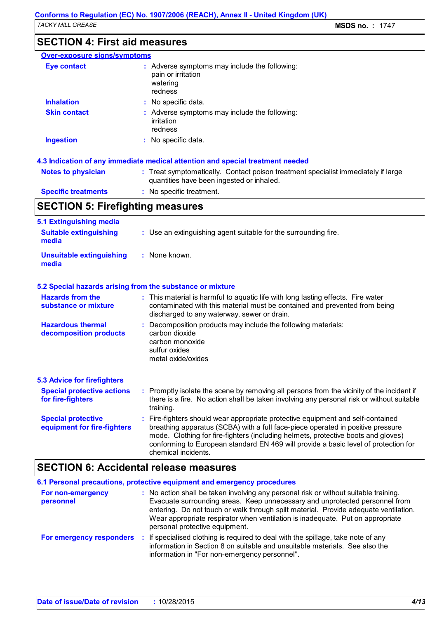### **SECTION 4: First aid measures**

| <b>Over-exposure signs/symptoms</b> |                                                                                                                                |
|-------------------------------------|--------------------------------------------------------------------------------------------------------------------------------|
| <b>Eye contact</b>                  | : Adverse symptoms may include the following:<br>pain or irritation<br>watering<br>redness                                     |
| <b>Inhalation</b>                   | : No specific data.                                                                                                            |
| <b>Skin contact</b>                 | : Adverse symptoms may include the following:<br>irritation<br>redness                                                         |
| <b>Ingestion</b>                    | : No specific data.                                                                                                            |
|                                     | 4.3 Indication of any immediate medical attention and special treatment needed                                                 |
| <b>Notes to physician</b>           | : Treat symptomatically. Contact poison treatment specialist immediately if large<br>quantities have been ingested or inhaled. |

**Specific treatments :** No specific treatment.

# **SECTION 5: Firefighting measures**

| 5.1 Extinguishing media<br><b>Suitable extinguishing</b><br>media | : Use an extinguishing agent suitable for the surrounding fire.                                                                                                                                                                                                                                                                                                     |
|-------------------------------------------------------------------|---------------------------------------------------------------------------------------------------------------------------------------------------------------------------------------------------------------------------------------------------------------------------------------------------------------------------------------------------------------------|
|                                                                   |                                                                                                                                                                                                                                                                                                                                                                     |
| <b>Unsuitable extinguishing</b><br>media                          | : None known.                                                                                                                                                                                                                                                                                                                                                       |
|                                                                   | 5.2 Special hazards arising from the substance or mixture                                                                                                                                                                                                                                                                                                           |
| <b>Hazards from the</b><br>substance or mixture                   | : This material is harmful to aquatic life with long lasting effects. Fire water<br>contaminated with this material must be contained and prevented from being<br>discharged to any waterway, sewer or drain.                                                                                                                                                       |
| <b>Hazardous thermal</b><br>decomposition products                | Decomposition products may include the following materials:<br>carbon dioxide<br>carbon monoxide<br>sulfur oxides<br>metal oxide/oxides                                                                                                                                                                                                                             |
| <b>5.3 Advice for firefighters</b>                                |                                                                                                                                                                                                                                                                                                                                                                     |
| <b>Special protective actions</b><br>for fire-fighters            | : Promptly isolate the scene by removing all persons from the vicinity of the incident if<br>there is a fire. No action shall be taken involving any personal risk or without suitable<br>training.                                                                                                                                                                 |
| <b>Special protective</b><br>equipment for fire-fighters          | Fire-fighters should wear appropriate protective equipment and self-contained<br>breathing apparatus (SCBA) with a full face-piece operated in positive pressure<br>mode. Clothing for fire-fighters (including helmets, protective boots and gloves)<br>conforming to European standard EN 469 will provide a basic level of protection for<br>chemical incidents. |

# **SECTION 6: Accidental release measures**

|                                | 6.1 Personal precautions, protective equipment and emergency procedures                                                                                                                                                                                                                                                                                                         |
|--------------------------------|---------------------------------------------------------------------------------------------------------------------------------------------------------------------------------------------------------------------------------------------------------------------------------------------------------------------------------------------------------------------------------|
| For non-emergency<br>personnel | : No action shall be taken involving any personal risk or without suitable training.<br>Evacuate surrounding areas. Keep unnecessary and unprotected personnel from<br>entering. Do not touch or walk through spilt material. Provide adequate ventilation.<br>Wear appropriate respirator when ventilation is inadequate. Put on appropriate<br>personal protective equipment. |
| For emergency responders       | If specialised clothing is required to deal with the spillage, take note of any<br>information in Section 8 on suitable and unsuitable materials. See also the<br>information in "For non-emergency personnel".                                                                                                                                                                 |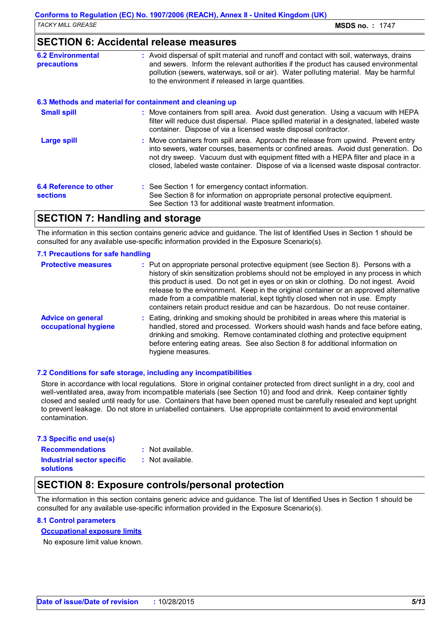### **SECTION 6: Accidental release measures**

| <b>6.2 Environmental</b><br><b>precautions</b> | : Avoid dispersal of spilt material and runoff and contact with soil, waterways, drains<br>and sewers. Inform the relevant authorities if the product has caused environmental<br>pollution (sewers, waterways, soil or air). Water polluting material. May be harmful<br>to the environment if released in large quantities.                           |
|------------------------------------------------|---------------------------------------------------------------------------------------------------------------------------------------------------------------------------------------------------------------------------------------------------------------------------------------------------------------------------------------------------------|
|                                                | 6.3 Methods and material for containment and cleaning up                                                                                                                                                                                                                                                                                                |
| <b>Small spill</b>                             | : Move containers from spill area. Avoid dust generation. Using a vacuum with HEPA<br>filter will reduce dust dispersal. Place spilled material in a designated, labeled waste<br>container. Dispose of via a licensed waste disposal contractor.                                                                                                       |
| <b>Large spill</b>                             | : Move containers from spill area. Approach the release from upwind. Prevent entry<br>into sewers, water courses, basements or confined areas. Avoid dust generation. Do<br>not dry sweep. Vacuum dust with equipment fitted with a HEPA filter and place in a<br>closed, labeled waste container. Dispose of via a licensed waste disposal contractor. |
| 6.4 Reference to other<br><b>sections</b>      | : See Section 1 for emergency contact information.<br>See Section 8 for information on appropriate personal protective equipment.<br>See Section 13 for additional waste treatment information.                                                                                                                                                         |

### **SECTION 7: Handling and storage**

The information in this section contains generic advice and guidance. The list of Identified Uses in Section 1 should be consulted for any available use-specific information provided in the Exposure Scenario(s).

#### **7.1 Precautions for safe handling**

| <b>Protective measures</b>                       | : Put on appropriate personal protective equipment (see Section 8). Persons with a<br>history of skin sensitization problems should not be employed in any process in which<br>this product is used. Do not get in eyes or on skin or clothing. Do not ingest. Avoid<br>release to the environment. Keep in the original container or an approved alternative<br>made from a compatible material, kept tightly closed when not in use. Empty<br>containers retain product residue and can be hazardous. Do not reuse container. |
|--------------------------------------------------|---------------------------------------------------------------------------------------------------------------------------------------------------------------------------------------------------------------------------------------------------------------------------------------------------------------------------------------------------------------------------------------------------------------------------------------------------------------------------------------------------------------------------------|
| <b>Advice on general</b><br>occupational hygiene | : Eating, drinking and smoking should be prohibited in areas where this material is<br>handled, stored and processed. Workers should wash hands and face before eating,<br>drinking and smoking. Remove contaminated clothing and protective equipment<br>before entering eating areas. See also Section 8 for additional information on<br>hygiene measures.                                                                                                                                                                   |

### **7.2 Conditions for safe storage, including any incompatibilities**

Store in accordance with local regulations. Store in original container protected from direct sunlight in a dry, cool and well-ventilated area, away from incompatible materials (see Section 10) and food and drink. Keep container tightly closed and sealed until ready for use. Containers that have been opened must be carefully resealed and kept upright to prevent leakage. Do not store in unlabelled containers. Use appropriate containment to avoid environmental contamination.

| 7.3 Specific end use(s)                               |                    |
|-------------------------------------------------------|--------------------|
| <b>Recommendations</b>                                | : Not available.   |
| <b>Industrial sector specific</b><br><b>solutions</b> | $:$ Not available. |

### **SECTION 8: Exposure controls/personal protection**

The information in this section contains generic advice and guidance. The list of Identified Uses in Section 1 should be consulted for any available use-specific information provided in the Exposure Scenario(s).

### **8.1 Control parameters**

### **Occupational exposure limits**

No exposure limit value known.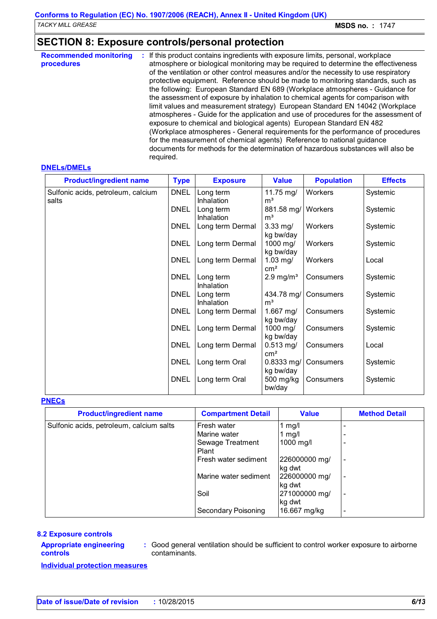# **SECTION 8: Exposure controls/personal protection**

| <b>Recommended monitoring</b><br>procedures | : If this product contains ingredients with exposure limits, personal, workplace<br>atmosphere or biological monitoring may be required to determine the effectiveness<br>of the ventilation or other control measures and/or the necessity to use respiratory<br>protective equipment. Reference should be made to monitoring standards, such as<br>the following: European Standard EN 689 (Workplace atmospheres - Guidance for<br>the assessment of exposure by inhalation to chemical agents for comparison with<br>limit values and measurement strategy) European Standard EN 14042 (Workplace<br>atmospheres - Guide for the application and use of procedures for the assessment of<br>exposure to chemical and biological agents) European Standard EN 482<br>(Workplace atmospheres - General requirements for the performance of procedures<br>for the measurement of chemical agents) Reference to national guidance<br>documents for methods for the determination of hazardous substances will also be |
|---------------------------------------------|-----------------------------------------------------------------------------------------------------------------------------------------------------------------------------------------------------------------------------------------------------------------------------------------------------------------------------------------------------------------------------------------------------------------------------------------------------------------------------------------------------------------------------------------------------------------------------------------------------------------------------------------------------------------------------------------------------------------------------------------------------------------------------------------------------------------------------------------------------------------------------------------------------------------------------------------------------------------------------------------------------------------------|
|                                             | required.                                                                                                                                                                                                                                                                                                                                                                                                                                                                                                                                                                                                                                                                                                                                                                                                                                                                                                                                                                                                             |

#### **DNELs/DMELs**

| <b>Product/ingredient name</b>              | <b>Type</b> | <b>Exposure</b>                | <b>Value</b>                  | <b>Population</b> | <b>Effects</b> |
|---------------------------------------------|-------------|--------------------------------|-------------------------------|-------------------|----------------|
| Sulfonic acids, petroleum, calcium<br>salts | <b>DNEL</b> | Long term<br><b>Inhalation</b> | 11.75 mg/<br>m <sup>3</sup>   | Workers           | Systemic       |
|                                             | <b>DNEL</b> | Long term<br>Inhalation        | 881.58 mg/<br>m <sup>3</sup>  | Workers           | Systemic       |
|                                             | <b>DNEL</b> | Long term Dermal               | $3.33$ mg/<br>kg bw/day       | <b>Workers</b>    | Systemic       |
|                                             | <b>DNEL</b> | Long term Dermal               | 1000 mg/<br>kg bw/day         | Workers           | Systemic       |
|                                             | <b>DNEL</b> | Long term Dermal               | 1.03 $mg/$<br>cm <sup>2</sup> | Workers           | Local          |
|                                             | <b>DNEL</b> | Long term<br>Inhalation        | $2.9$ mg/m <sup>3</sup>       | Consumers         | Systemic       |
|                                             | <b>DNEL</b> | Long term<br>Inhalation        | 434.78 mg/<br>m <sup>3</sup>  | Consumers         | Systemic       |
|                                             | <b>DNEL</b> | Long term Dermal               | 1.667 mg/<br>kg bw/day        | Consumers         | Systemic       |
|                                             | <b>DNEL</b> | Long term Dermal               | 1000 mg/<br>kg bw/day         | Consumers         | Systemic       |
|                                             | <b>DNEL</b> | Long term Dermal               | $0.513$ mg/<br>$\text{cm}^2$  | Consumers         | Local          |
|                                             | <b>DNEL</b> | Long term Oral                 | 0.8333 mg/<br>kg bw/day       | Consumers         | Systemic       |
|                                             | <b>DNEL</b> | Long term Oral                 | 500 mg/kg<br>bw/day           | Consumers         | Systemic       |

#### **PNECs**

| <b>Product/ingredient name</b>           | <b>Compartment Detail</b> | <b>Value</b>  | <b>Method Detail</b>     |
|------------------------------------------|---------------------------|---------------|--------------------------|
| Sulfonic acids, petroleum, calcium salts | Fresh water               | 1 $mg/l$      |                          |
|                                          | Marine water              | 1 $mg/l$      |                          |
|                                          | Sewage Treatment          | 1000 mg/l     |                          |
|                                          | Plant                     |               |                          |
|                                          | Fresh water sediment      | 226000000 mg/ | $\overline{\phantom{a}}$ |
|                                          |                           | kg dwt        |                          |
|                                          | Marine water sediment     | 226000000 mg/ | $\overline{\phantom{a}}$ |
|                                          |                           | kg dwt        |                          |
|                                          | Soil                      | 271000000 mg/ | $\overline{\phantom{a}}$ |
|                                          |                           | kg dwt        |                          |
|                                          | Secondary Poisoning       | 16.667 mg/kg  |                          |

#### **8.2 Exposure controls**

#### **Appropriate engineering controls**

**:** Good general ventilation should be sufficient to control worker exposure to airborne contaminants.

**Individual protection measures**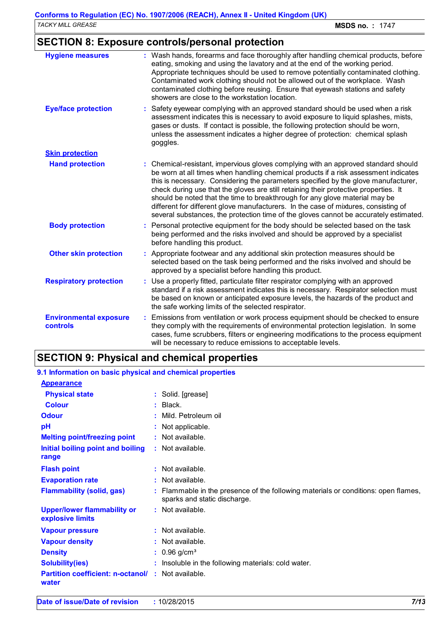# **SECTION 8: Exposure controls/personal protection**

| <b>Hygiene measures</b>                   | : Wash hands, forearms and face thoroughly after handling chemical products, before<br>eating, smoking and using the lavatory and at the end of the working period.<br>Appropriate techniques should be used to remove potentially contaminated clothing.<br>Contaminated work clothing should not be allowed out of the workplace. Wash<br>contaminated clothing before reusing. Ensure that eyewash stations and safety<br>showers are close to the workstation location.                                                                                                                                            |
|-------------------------------------------|------------------------------------------------------------------------------------------------------------------------------------------------------------------------------------------------------------------------------------------------------------------------------------------------------------------------------------------------------------------------------------------------------------------------------------------------------------------------------------------------------------------------------------------------------------------------------------------------------------------------|
| <b>Eye/face protection</b>                | : Safety eyewear complying with an approved standard should be used when a risk<br>assessment indicates this is necessary to avoid exposure to liquid splashes, mists,<br>gases or dusts. If contact is possible, the following protection should be worn,<br>unless the assessment indicates a higher degree of protection: chemical splash<br>goggles.                                                                                                                                                                                                                                                               |
| <b>Skin protection</b>                    |                                                                                                                                                                                                                                                                                                                                                                                                                                                                                                                                                                                                                        |
| <b>Hand protection</b>                    | : Chemical-resistant, impervious gloves complying with an approved standard should<br>be worn at all times when handling chemical products if a risk assessment indicates<br>this is necessary. Considering the parameters specified by the glove manufacturer,<br>check during use that the gloves are still retaining their protective properties. It<br>should be noted that the time to breakthrough for any glove material may be<br>different for different glove manufacturers. In the case of mixtures, consisting of<br>several substances, the protection time of the gloves cannot be accurately estimated. |
| <b>Body protection</b>                    | : Personal protective equipment for the body should be selected based on the task<br>being performed and the risks involved and should be approved by a specialist<br>before handling this product.                                                                                                                                                                                                                                                                                                                                                                                                                    |
| <b>Other skin protection</b>              | : Appropriate footwear and any additional skin protection measures should be<br>selected based on the task being performed and the risks involved and should be<br>approved by a specialist before handling this product.                                                                                                                                                                                                                                                                                                                                                                                              |
| <b>Respiratory protection</b>             | : Use a properly fitted, particulate filter respirator complying with an approved<br>standard if a risk assessment indicates this is necessary. Respirator selection must<br>be based on known or anticipated exposure levels, the hazards of the product and<br>the safe working limits of the selected respirator.                                                                                                                                                                                                                                                                                                   |
| <b>Environmental exposure</b><br>controls | : Emissions from ventilation or work process equipment should be checked to ensure<br>they comply with the requirements of environmental protection legislation. In some<br>cases, fume scrubbers, filters or engineering modifications to the process equipment<br>will be necessary to reduce emissions to acceptable levels.                                                                                                                                                                                                                                                                                        |

### **SECTION 9: Physical and chemical properties**

| 9.1 Information on basic physical and chemical properties |                                                                                                                    |  |
|-----------------------------------------------------------|--------------------------------------------------------------------------------------------------------------------|--|
| <b>Appearance</b>                                         |                                                                                                                    |  |
| <b>Physical state</b>                                     | : Solid. [grease]                                                                                                  |  |
| <b>Colour</b>                                             | $:$ Black.                                                                                                         |  |
| <b>Odour</b>                                              | : Mild. Petroleum oil                                                                                              |  |
| pH                                                        | : Not applicable.                                                                                                  |  |
| <b>Melting point/freezing point</b>                       | : Not available.                                                                                                   |  |
| Initial boiling point and boiling<br>range                | : Not available.                                                                                                   |  |
| <b>Flash point</b>                                        | $:$ Not available.                                                                                                 |  |
| <b>Evaporation rate</b>                                   | $:$ Not available.                                                                                                 |  |
| <b>Flammability (solid, gas)</b>                          | : Flammable in the presence of the following materials or conditions: open flames,<br>sparks and static discharge. |  |
| <b>Upper/lower flammability or</b><br>explosive limits    | $:$ Not available.                                                                                                 |  |
| <b>Vapour pressure</b>                                    | $:$ Not available.                                                                                                 |  |
| <b>Vapour density</b>                                     | $:$ Not available.                                                                                                 |  |
| <b>Density</b>                                            | $: 0.96$ g/cm <sup>3</sup>                                                                                         |  |
| <b>Solubility(ies)</b>                                    | : Insoluble in the following materials: cold water.                                                                |  |
| <b>Partition coefficient: n-octanol/</b><br>water         | : Not available.                                                                                                   |  |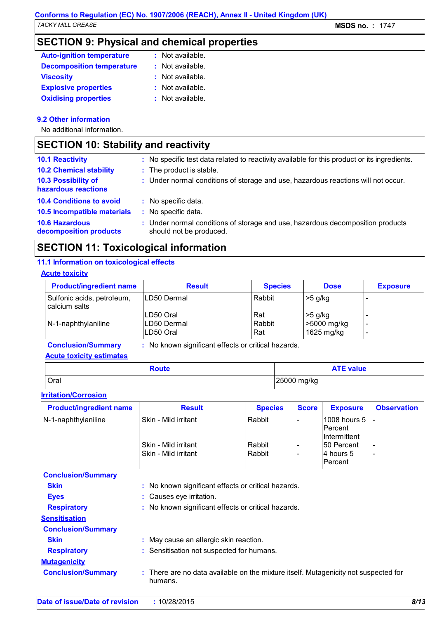# **SECTION 9: Physical and chemical properties**

| <b>Auto-ignition temperature</b> | : Not available. |
|----------------------------------|------------------|
| <b>Decomposition temperature</b> | : Not available. |
| <b>Viscosity</b>                 | : Not available. |
| <b>Explosive properties</b>      | : Not available. |
| <b>Oxidising properties</b>      | : Not available. |

### **9.2 Other information**

No additional information.

# **SECTION 10: Stability and reactivity**

| <b>10.1 Reactivity</b><br><b>10.2 Chemical stability</b><br>10.3 Possibility of<br>hazardous reactions            | : No specific test data related to reactivity available for this product or its ingredients.<br>: The product is stable.<br>: Under normal conditions of storage and use, hazardous reactions will not occur. |
|-------------------------------------------------------------------------------------------------------------------|---------------------------------------------------------------------------------------------------------------------------------------------------------------------------------------------------------------|
| <b>10.4 Conditions to avoid</b><br>10.5 Incompatible materials<br><b>10.6 Hazardous</b><br>decomposition products | : No specific data.<br>: No specific data.<br>: Under normal conditions of storage and use, hazardous decomposition products<br>should not be produced.                                                       |

# **SECTION 11: Toxicological information**

### **11.1 Information on toxicological effects**

### **Acute toxicity**

| <b>Product/ingredient name</b>                                                 | <b>Result</b>                            | <b>Species</b>       | <b>Dose</b>                            | <b>Exposure</b> |  |
|--------------------------------------------------------------------------------|------------------------------------------|----------------------|----------------------------------------|-----------------|--|
| Sulfonic acids, petroleum,<br>calcium salts                                    | ILD50 Dermal                             | Rabbit               | $>5$ g/kg                              |                 |  |
| N-1-naphthylaniline                                                            | ILD50 Oral<br>ILD50 Dermal<br>ILD50 Oral | Rat<br>Rabbit<br>Rat | $>5$ g/kg<br>>5000 mg/kg<br>1625 mg/kg |                 |  |
| No known significant effects or critical hazards.<br><b>Conclusion/Summary</b> |                                          |                      |                                        |                 |  |

**Acute toxicity estimates**

| Route | <b>ATE value</b> |
|-------|------------------|
| Oral  | 25000 mg/kg      |

### **Irritation/Corrosion**

| <b>Product/ingredient name</b> | <b>Result</b>                                | <b>Species</b>   | <b>Score</b> | <b>Exposure</b>                               | <b>Observation</b>                                   |
|--------------------------------|----------------------------------------------|------------------|--------------|-----------------------------------------------|------------------------------------------------------|
| N-1-naphthylaniline            | Skin - Mild irritant                         | Rabbit           |              | 1008 hours $5$   -<br>Percent<br>Intermittent |                                                      |
|                                | Skin - Mild irritant<br>Skin - Mild irritant | Rabbit<br>Rabbit | -            | 150 Percent<br>14 hours 5<br>lPercent         | $\overline{\phantom{a}}$<br>$\overline{\phantom{a}}$ |

| <b>Conclusion/Summary</b> |                                                                                                |
|---------------------------|------------------------------------------------------------------------------------------------|
| <b>Skin</b>               | : No known significant effects or critical hazards.                                            |
| <b>Eyes</b>               | : Causes eye irritation.                                                                       |
| <b>Respiratory</b>        | : No known significant effects or critical hazards.                                            |
| <b>Sensitisation</b>      |                                                                                                |
| <b>Conclusion/Summary</b> |                                                                                                |
| <b>Skin</b>               | May cause an allergic skin reaction.                                                           |
| <b>Respiratory</b>        | : Sensitisation not suspected for humans.                                                      |
| <b>Mutagenicity</b>       |                                                                                                |
| <b>Conclusion/Summary</b> | : There are no data available on the mixture itself. Mutagenicity not suspected for<br>humans. |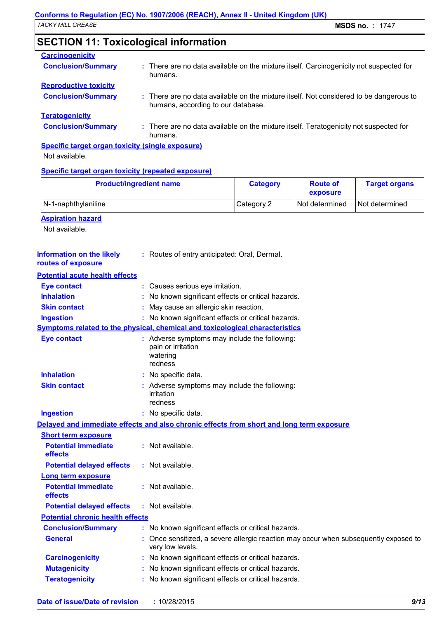# **SECTION 11: Toxicological information**

| <b>Carcinogenicity</b>                                  |                                                                                                                              |  |  |  |
|---------------------------------------------------------|------------------------------------------------------------------------------------------------------------------------------|--|--|--|
| <b>Conclusion/Summary</b>                               | : There are no data available on the mixture itself. Carcinogenicity not suspected for<br>humans.                            |  |  |  |
| <b>Reproductive toxicity</b>                            |                                                                                                                              |  |  |  |
| <b>Conclusion/Summary</b>                               | : There are no data available on the mixture itself. Not considered to be dangerous to<br>humans, according to our database. |  |  |  |
| <b>Teratogenicity</b>                                   |                                                                                                                              |  |  |  |
| <b>Conclusion/Summary</b>                               | : There are no data available on the mixture itself. Teratogenicity not suspected for<br>humans.                             |  |  |  |
| <b>Specific target organ toxicity (single exposure)</b> |                                                                                                                              |  |  |  |

Not available.

### **Specific target organ toxicity (repeated exposure)**

| <b>Product/ingredient name</b>                         |                                                                                                          | <b>Category</b> | <b>Route of</b><br>exposure | <b>Target organs</b> |
|--------------------------------------------------------|----------------------------------------------------------------------------------------------------------|-----------------|-----------------------------|----------------------|
| N-1-naphthylaniline                                    |                                                                                                          | Category 2      | Not determined              | Not determined       |
| <b>Aspiration hazard</b><br>Not available.             |                                                                                                          |                 |                             |                      |
| <b>Information on the likely</b><br>routes of exposure | : Routes of entry anticipated: Oral, Dermal.                                                             |                 |                             |                      |
| <b>Potential acute health effects</b>                  |                                                                                                          |                 |                             |                      |
| <b>Eye contact</b>                                     | : Causes serious eye irritation.                                                                         |                 |                             |                      |
| <b>Inhalation</b>                                      | No known significant effects or critical hazards.                                                        |                 |                             |                      |
| <b>Skin contact</b>                                    | May cause an allergic skin reaction.                                                                     |                 |                             |                      |
| <b>Ingestion</b>                                       | : No known significant effects or critical hazards.                                                      |                 |                             |                      |
|                                                        | Symptoms related to the physical, chemical and toxicological characteristics                             |                 |                             |                      |
| <b>Eye contact</b>                                     | : Adverse symptoms may include the following:<br>pain or irritation<br>watering<br>redness               |                 |                             |                      |
| <b>Inhalation</b>                                      | : No specific data.                                                                                      |                 |                             |                      |
| <b>Skin contact</b>                                    | : Adverse symptoms may include the following:<br>irritation<br>redness                                   |                 |                             |                      |
| <b>Ingestion</b>                                       | : No specific data.                                                                                      |                 |                             |                      |
|                                                        | Delayed and immediate effects and also chronic effects from short and long term exposure                 |                 |                             |                      |
| <b>Short term exposure</b>                             |                                                                                                          |                 |                             |                      |
| <b>Potential immediate</b><br>effects                  | : Not available.                                                                                         |                 |                             |                      |
| <b>Potential delayed effects</b>                       | : Not available.                                                                                         |                 |                             |                      |
| <b>Long term exposure</b>                              |                                                                                                          |                 |                             |                      |
| <b>Potential immediate</b><br>effects                  | : Not available.                                                                                         |                 |                             |                      |
| <b>Potential delayed effects</b>                       | : Not available.                                                                                         |                 |                             |                      |
| <b>Potential chronic health effects</b>                |                                                                                                          |                 |                             |                      |
| <b>Conclusion/Summary</b>                              | : No known significant effects or critical hazards.                                                      |                 |                             |                      |
| <b>General</b>                                         | : Once sensitized, a severe allergic reaction may occur when subsequently exposed to<br>very low levels. |                 |                             |                      |
| <b>Carcinogenicity</b>                                 | : No known significant effects or critical hazards.                                                      |                 |                             |                      |
| <b>Mutagenicity</b>                                    | No known significant effects or critical hazards.                                                        |                 |                             |                      |
| <b>Teratogenicity</b>                                  | : No known significant effects or critical hazards.                                                      |                 |                             |                      |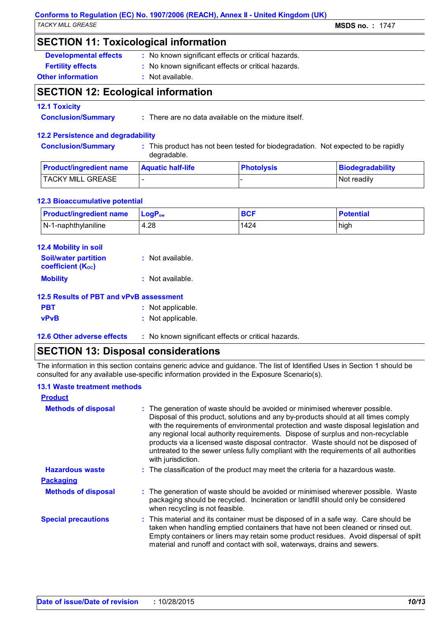### **Conforms to Regulation (EC) No. 1907/2006 (REACH), Annex II - United Kingdom (UK)** *TACKY MILL GREASE* **MSDS no. :** 1747

### **SECTION 11: Toxicological information**

**Developmental effects** : No known significant effects or critical hazards.

**Fertility effects :** No known significant effects or critical hazards.

### **Other information :** Not available.

### **SECTION 12: Ecological information**

### **12.1 Toxicity**

**Conclusion/Summary :** There are no data available on the mixture itself.

### **12.2 Persistence and degradability**

**Conclusion/Summary :** This product has not been tested for biodegradation. Not expected to be rapidly degradable.

| <b>Product/ingredient name</b> | <b>Aquatic half-life</b> | <b>Photolysis</b> | Biodegradability |
|--------------------------------|--------------------------|-------------------|------------------|
| <b>TACKY MILL GREASE</b>       |                          |                   | Not readily      |

### **12.3 Bioaccumulative potential**

| <b>Product/ingredient name</b> | <b>LogP</b> <sub>ow</sub> | <b>BCF</b> | <b>Potential</b> |
|--------------------------------|---------------------------|------------|------------------|
| $N-1$ -naphthylaniline         | 4.28                      | 1424       | high             |

| <b>12.4 Mobility in soil</b>                            |                    |
|---------------------------------------------------------|--------------------|
| <b>Soil/water partition</b><br><b>coefficient (Koc)</b> | : Not available.   |
| <b>Mobility</b>                                         | $:$ Not available. |
| 12.5 Results of PBT and vPvB assessment                 |                    |

| <b>PBT</b>  | : Not applicable. |
|-------------|-------------------|
| <b>vPvB</b> | : Not applicable. |

**12.6 Other adverse effects** : No known significant effects or critical hazards.

### **SECTION 13: Disposal considerations**

The information in this section contains generic advice and guidance. The list of Identified Uses in Section 1 should be consulted for any available use-specific information provided in the Exposure Scenario(s).

### **13.1 Waste treatment methods**

| <b>Product</b>             |                                                                                                                                                                                                                                                                                                                                                                                                                                                                                                                                                     |
|----------------------------|-----------------------------------------------------------------------------------------------------------------------------------------------------------------------------------------------------------------------------------------------------------------------------------------------------------------------------------------------------------------------------------------------------------------------------------------------------------------------------------------------------------------------------------------------------|
| <b>Methods of disposal</b> | : The generation of waste should be avoided or minimised wherever possible.<br>Disposal of this product, solutions and any by-products should at all times comply<br>with the requirements of environmental protection and waste disposal legislation and<br>any regional local authority requirements. Dispose of surplus and non-recyclable<br>products via a licensed waste disposal contractor. Waste should not be disposed of<br>untreated to the sewer unless fully compliant with the requirements of all authorities<br>with jurisdiction. |
| <b>Hazardous waste</b>     | : The classification of the product may meet the criteria for a hazardous waste.                                                                                                                                                                                                                                                                                                                                                                                                                                                                    |
| <b>Packaging</b>           |                                                                                                                                                                                                                                                                                                                                                                                                                                                                                                                                                     |
| <b>Methods of disposal</b> | : The generation of waste should be avoided or minimised wherever possible. Waste<br>packaging should be recycled. Incineration or landfill should only be considered<br>when recycling is not feasible.                                                                                                                                                                                                                                                                                                                                            |
| <b>Special precautions</b> | : This material and its container must be disposed of in a safe way. Care should be<br>taken when handling emptied containers that have not been cleaned or rinsed out.<br>Empty containers or liners may retain some product residues. Avoid dispersal of spilt<br>material and runoff and contact with soil, waterways, drains and sewers.                                                                                                                                                                                                        |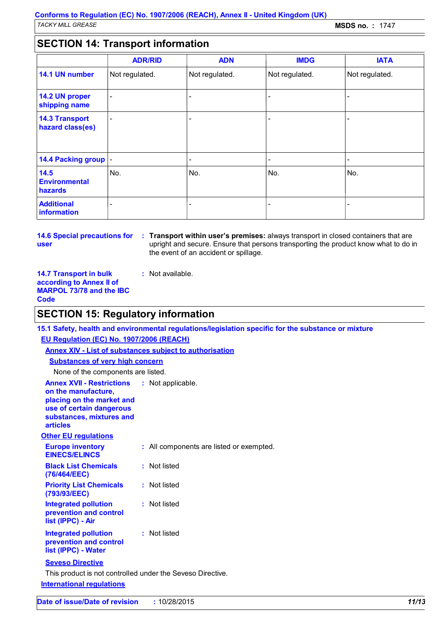### **SECTION 14: Transport information**

|                                           | <b>ADR/RID</b>           | <b>ADN</b>               | <b>IMDG</b>    | <b>IATA</b>    |
|-------------------------------------------|--------------------------|--------------------------|----------------|----------------|
| 14.1 UN number                            | Not regulated.           | Not regulated.           | Not regulated. | Not regulated. |
| 14.2 UN proper<br>shipping name           | $\overline{\phantom{a}}$ | $\overline{\phantom{a}}$ |                |                |
| <b>14.3 Transport</b><br>hazard class(es) | $\overline{\phantom{a}}$ | $\overline{\phantom{a}}$ |                |                |
| 14.4 Packing group  -                     |                          | ٠                        |                |                |
| 14.5<br><b>Environmental</b><br>hazards   | No.                      | No.                      | No.            | No.            |
| <b>Additional</b><br><b>information</b>   | -                        |                          |                |                |

**14.6 Special precautions for user**

**Transport within user's premises:** always transport in closed containers that are **:** upright and secure. Ensure that persons transporting the product know what to do in the event of an accident or spillage.

**14.7 Transport in bulk according to Annex II of MARPOL 73/78 and the IBC Code**

### **SECTION 15: Regulatory information**

**:** Not available.

**Other EU regulations Annex XVII - Restrictions on the manufacture, placing on the market and use of certain dangerous substances, mixtures and articles** : Not applicable. **Europe inventory EINECS/ELINCS :** All components are listed or exempted. **Black List Chemicals (76/464/EEC) :** Not listed **Priority List Chemicals (793/93/EEC) :** Not listed **Integrated pollution prevention and control list (IPPC) - Air :** Not listed **Integrated pollution prevention and control list (IPPC) - Water :** Not listed **International regulations 15.1 Safety, health and environmental regulations/legislation specific for the substance or mixture EU Regulation (EC) No. 1907/2006 (REACH) Annex XIV - List of substances subject to authorisation Substances of very high concern** None of the components are listed. **Seveso Directive** This product is not controlled under the Seveso Directive.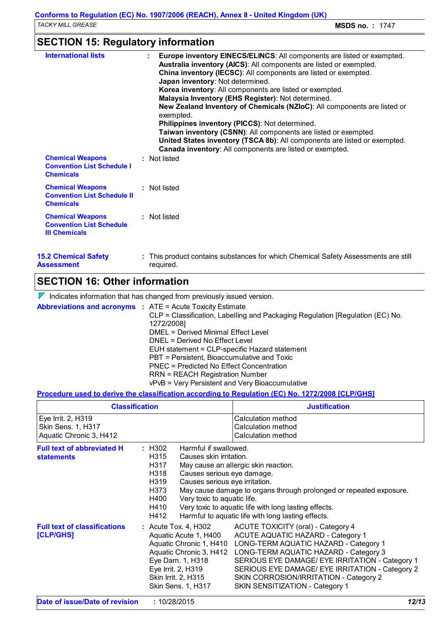# **SECTION 15: Regulatory information**

| <b>15.2 Chemical Safety</b><br>Assessment                                          | : This product contains substances for which Chemical Safety Assessments are still<br>required.                                                                                                                                                                                                                                                                                                                                                                                                                                                                                                                                                                 |
|------------------------------------------------------------------------------------|-----------------------------------------------------------------------------------------------------------------------------------------------------------------------------------------------------------------------------------------------------------------------------------------------------------------------------------------------------------------------------------------------------------------------------------------------------------------------------------------------------------------------------------------------------------------------------------------------------------------------------------------------------------------|
| <b>Chemical Weapons</b><br><b>Convention List Schedule</b><br><b>III Chemicals</b> | : Not listed                                                                                                                                                                                                                                                                                                                                                                                                                                                                                                                                                                                                                                                    |
| <b>Chemical Weapons</b><br><b>Convention List Schedule II</b><br><b>Chemicals</b>  | : Not listed                                                                                                                                                                                                                                                                                                                                                                                                                                                                                                                                                                                                                                                    |
| <b>Chemical Weapons</b><br><b>Convention List Schedule I</b><br><b>Chemicals</b>   | Canada inventory: All components are listed or exempted.<br>: Not listed                                                                                                                                                                                                                                                                                                                                                                                                                                                                                                                                                                                        |
| <b>International lists</b>                                                         | Europe inventory EINECS/ELINCS: All components are listed or exempted.<br>Australia inventory (AICS): All components are listed or exempted.<br>China inventory (IECSC): All components are listed or exempted.<br>Japan inventory: Not determined.<br>Korea inventory: All components are listed or exempted.<br>Malaysia Inventory (EHS Register): Not determined.<br>New Zealand Inventory of Chemicals (NZIoC): All components are listed or<br>exempted.<br>Philippines inventory (PICCS): Not determined.<br>Taiwan inventory (CSNN): All components are listed or exempted.<br>United States inventory (TSCA 8b): All components are listed or exempted. |

# **SECTION 16: Other information**

 $\nabla$  Indicates information that has changed from previously issued version.

**Abbreviations and acronyms :** ATE = Acute Toxicity Estimate

|  | $\bullet$ . ALC – ACULT TOXICITY ESTITUTE                                     |
|--|-------------------------------------------------------------------------------|
|  | CLP = Classification, Labelling and Packaging Regulation [Regulation (EC) No. |
|  | 1272/2008]                                                                    |
|  | DMEL = Derived Minimal Effect Level                                           |
|  | DNEL = Derived No Effect Level                                                |
|  | EUH statement = CLP-specific Hazard statement                                 |
|  | PBT = Persistent, Bioaccumulative and Toxic                                   |
|  | PNEC = Predicted No Effect Concentration                                      |
|  | <b>RRN = REACH Registration Number</b>                                        |
|  | vPvB = Very Persistent and Very Bioaccumulative                               |
|  |                                                                               |

### **Procedure used to derive the classification according to Regulation (EC) No. 1272/2008 [CLP/GHS]**

| <b>Classification</b>                                               |                                                                                                                                                                                                   | <b>Justification</b>                                                                                                                                                                                                                                                                                                                                                         |  |
|---------------------------------------------------------------------|---------------------------------------------------------------------------------------------------------------------------------------------------------------------------------------------------|------------------------------------------------------------------------------------------------------------------------------------------------------------------------------------------------------------------------------------------------------------------------------------------------------------------------------------------------------------------------------|--|
| Eye Irrit. 2, H319<br>Skin Sens. 1, H317<br>Aquatic Chronic 3, H412 |                                                                                                                                                                                                   | Calculation method<br><b>Calculation method</b><br>Calculation method                                                                                                                                                                                                                                                                                                        |  |
| <b>Full text of abbreviated H</b><br><b>statements</b>              | $:$ H302<br>H315<br>H317<br>H318<br>H319<br>H373<br>H400<br>H410<br>H412                                                                                                                          | Harmful if swallowed.<br>Causes skin irritation.<br>May cause an allergic skin reaction.<br>Causes serious eye damage.<br>Causes serious eye irritation.<br>May cause damage to organs through prolonged or repeated exposure.<br>Very toxic to aquatic life.<br>Very toxic to aquatic life with long lasting effects.<br>Harmful to aquatic life with long lasting effects. |  |
| <b>Full text of classifications</b><br>[CLP/GHS]                    | : Acute Tox. 4, H302<br>Aquatic Acute 1, H400<br>Aquatic Chronic 1, H410<br>Aquatic Chronic 3, H412<br>Eye Dam. 1, H318<br>Eye Irrit. 2, H319<br>Skin Irrit. 2, H315<br><b>Skin Sens. 1, H317</b> | ACUTE TOXICITY (oral) - Category 4<br><b>ACUTE AQUATIC HAZARD - Category 1</b><br>LONG-TERM AQUATIC HAZARD - Category 1<br>LONG-TERM AQUATIC HAZARD - Category 3<br>SERIOUS EYE DAMAGE/ EYE IRRITATION - Category 1<br>SERIOUS EYE DAMAGE/ EYE IRRITATION - Category 2<br>SKIN CORROSION/IRRITATION - Category 2<br>SKIN SENSITIZATION - Category 1                          |  |
| Date of issue/Date of revision<br>: 10/28/2015                      |                                                                                                                                                                                                   | 12/13                                                                                                                                                                                                                                                                                                                                                                        |  |